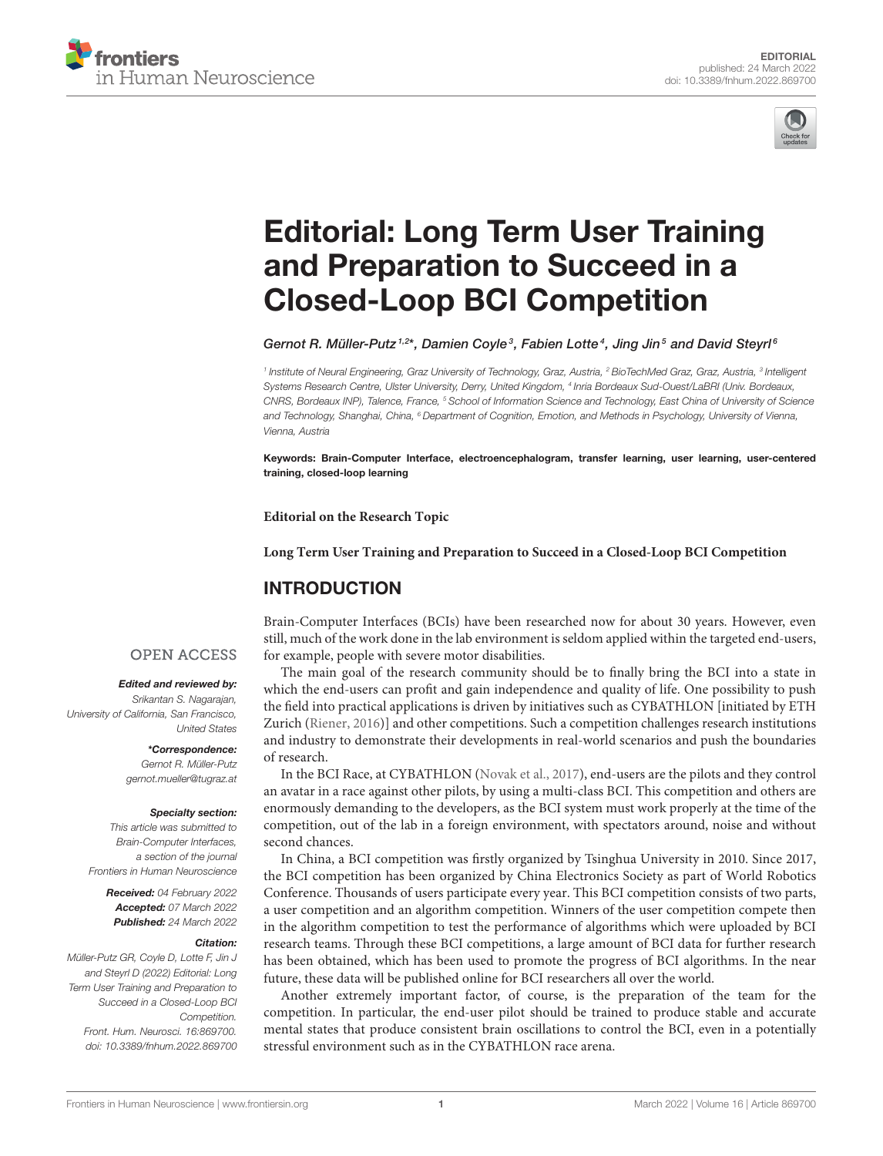



# [Editorial: Long Term User Training](https://www.frontiersin.org/articles/10.3389/fnhum.2022.869700/full) and Preparation to Succeed in a Closed-Loop BCI Competition

Gernot R. Müller-Putz<sup>1,2\*</sup>, Damien Coyle<sup>3</sup>, Fabien Lotte<sup>4</sup>, Jing Jin<sup>5</sup> and David Steyrl<sup>6</sup>

<sup>1</sup> Institute of Neural Engineering, Graz University of Technology, Graz, Austria, <sup>2</sup> BioTechMed Graz, Graz, Austria, <sup>3</sup> Intelligent Systems Research Centre, Ulster University, Derry, United Kingdom, <sup>4</sup> Inria Bordeaux Sud-Ouest/LaBRI (Univ. Bordeaux, CNRS, Bordeaux INP), Talence, France, <sup>5</sup> School of Information Science and Technology, East China of University of Science and Technology, Shanghai, China, <sup>6</sup> Department of Cognition, Emotion, and Methods in Psychology, University of Vienna, Vienna, Austria

Keywords: Brain-Computer Interface, electroencephalogram, transfer learning, user learning, user-centered training, closed-loop learning

**Editorial on the Research Topic**

**[Long Term User Training and Preparation to Succeed in a Closed-Loop BCI Competition](https://www.frontiersin.org/research-topics/11782/long-term-user-training-and-preparation-to-succeed-in-a-closed-loop-bci-competition)**

# INTRODUCTION

Brain-Computer Interfaces (BCIs) have been researched now for about 30 years. However, even still, much of the work done in the lab environment is seldom applied within the targeted end-users, for example, people with severe motor disabilities.

The main goal of the research community should be to finally bring the BCI into a state in which the end-users can profit and gain independence and quality of life. One possibility to push the field into practical applications is driven by initiatives such as CYBATHLON [initiated by ETH Zurich [\(Riener, 2016\)](#page-1-0)] and other competitions. Such a competition challenges research institutions and industry to demonstrate their developments in real-world scenarios and push the boundaries of research.

In the BCI Race, at CYBATHLON [\(Novak et al., 2017\)](#page-1-1), end-users are the pilots and they control an avatar in a race against other pilots, by using a multi-class BCI. This competition and others are enormously demanding to the developers, as the BCI system must work properly at the time of the competition, out of the lab in a foreign environment, with spectators around, noise and without second chances.

In China, a BCI competition was firstly organized by Tsinghua University in 2010. Since 2017, the BCI competition has been organized by China Electronics Society as part of World Robotics Conference. Thousands of users participate every year. This BCI competition consists of two parts, a user competition and an algorithm competition. Winners of the user competition compete then in the algorithm competition to test the performance of algorithms which were uploaded by BCI research teams. Through these BCI competitions, a large amount of BCI data for further research has been obtained, which has been used to promote the progress of BCI algorithms. In the near future, these data will be published online for BCI researchers all over the world.

Another extremely important factor, of course, is the preparation of the team for the competition. In particular, the end-user pilot should be trained to produce stable and accurate mental states that produce consistent brain oscillations to control the BCI, even in a potentially stressful environment such as in the CYBATHLON race arena.

### **OPEN ACCESS**

#### Edited and reviewed by:

Srikantan S. Nagarajan, University of California, San Francisco, United States

\*Correspondence:

Gernot R. Müller-Putz [gernot.mueller@tugraz.at](mailto:gernot.mueller@tugraz.at)

#### Specialty section:

This article was submitted to Brain-Computer Interfaces, a section of the journal Frontiers in Human Neuroscience

Received: 04 February 2022 Accepted: 07 March 2022 Published: 24 March 2022

#### Citation:

Müller-Putz GR, Coyle D, Lotte F, Jin J and Steyrl D (2022) Editorial: Long Term User Training and Preparation to Succeed in a Closed-Loop BCI Competition. Front. Hum. Neurosci. 16:869700. doi: [10.3389/fnhum.2022.869700](https://doi.org/10.3389/fnhum.2022.869700)